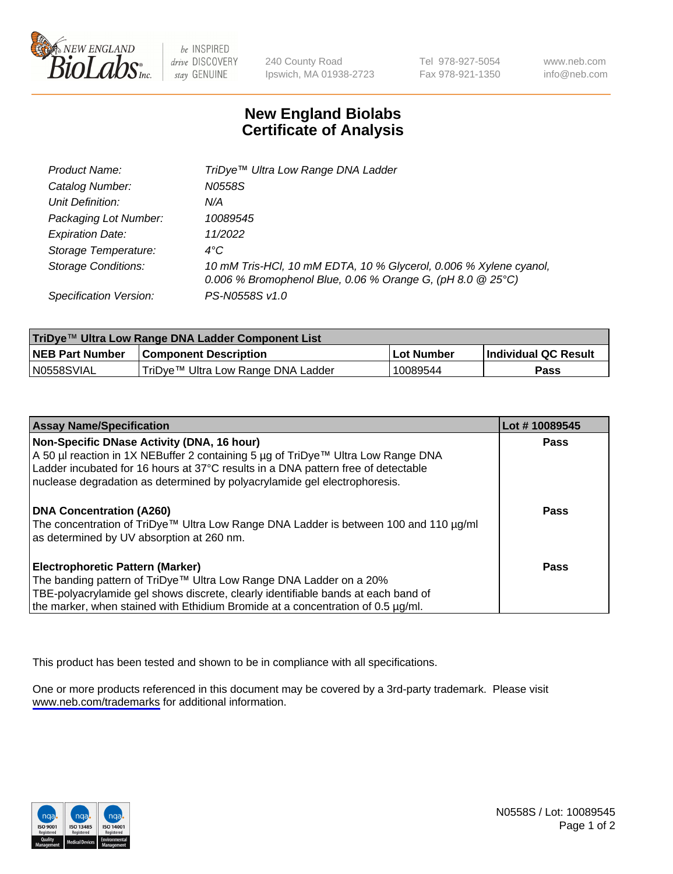

be INSPIRED drive DISCOVERY stay GENUINE

240 County Road Ipswich, MA 01938-2723 Tel 978-927-5054 Fax 978-921-1350

www.neb.com info@neb.com

## **New England Biolabs Certificate of Analysis**

| Product Name:              | TriDye™ Ultra Low Range DNA Ladder                                                                                                |
|----------------------------|-----------------------------------------------------------------------------------------------------------------------------------|
| Catalog Number:            | N0558S                                                                                                                            |
| Unit Definition:           | N/A                                                                                                                               |
| Packaging Lot Number:      | 10089545                                                                                                                          |
| <b>Expiration Date:</b>    | 11/2022                                                                                                                           |
| Storage Temperature:       | $4^{\circ}$ C                                                                                                                     |
| <b>Storage Conditions:</b> | 10 mM Tris-HCl, 10 mM EDTA, 10 % Glycerol, 0.006 % Xylene cyanol,<br>0.006 % Bromophenol Blue, 0.06 % Orange G, (pH 8.0 $@25°C$ ) |
| Specification Version:     | PS-N0558S v1.0                                                                                                                    |

| TriDye™ Ultra Low Range DNA Ladder Component List |                                    |             |                      |  |
|---------------------------------------------------|------------------------------------|-------------|----------------------|--|
| <b>NEB Part Number</b>                            | <b>Component Description</b>       | ⊥Lot Number | Individual QC Result |  |
| N0558SVIAL                                        | TriDye™ Ultra Low Range DNA Ladder | 10089544    | Pass                 |  |

| <b>Assay Name/Specification</b>                                                                                                                                                                                                                                                                  | Lot #10089545 |
|--------------------------------------------------------------------------------------------------------------------------------------------------------------------------------------------------------------------------------------------------------------------------------------------------|---------------|
| Non-Specific DNase Activity (DNA, 16 hour)<br>A 50 µl reaction in 1X NEBuffer 2 containing 5 µg of TriDye™ Ultra Low Range DNA<br>Ladder incubated for 16 hours at 37°C results in a DNA pattern free of detectable<br>nuclease degradation as determined by polyacrylamide gel electrophoresis. | <b>Pass</b>   |
| <b>DNA Concentration (A260)</b><br>The concentration of TriDye™ Ultra Low Range DNA Ladder is between 100 and 110 µg/ml<br>as determined by UV absorption at 260 nm.                                                                                                                             | Pass          |
| <b>Electrophoretic Pattern (Marker)</b><br>The banding pattern of TriDye™ Ultra Low Range DNA Ladder on a 20%<br>TBE-polyacrylamide gel shows discrete, clearly identifiable bands at each band of<br>the marker, when stained with Ethidium Bromide at a concentration of 0.5 µg/ml.            | <b>Pass</b>   |

This product has been tested and shown to be in compliance with all specifications.

One or more products referenced in this document may be covered by a 3rd-party trademark. Please visit <www.neb.com/trademarks>for additional information.